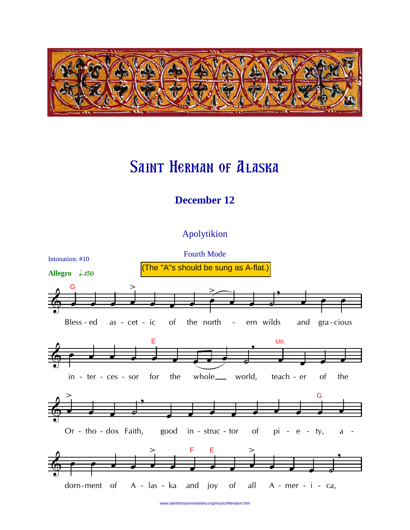

## **SAINT HERMAN OF ALASKA**

## **December 12**

## Apolytikion